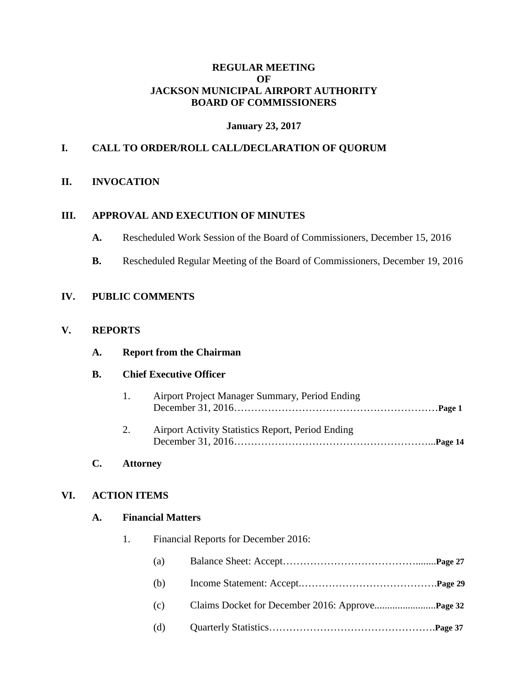#### **REGULAR MEETING OF JACKSON MUNICIPAL AIRPORT AUTHORITY BOARD OF COMMISSIONERS**

### **January 23, 2017**

## **I. CALL TO ORDER/ROLL CALL/DECLARATION OF QUORUM**

### **II. INVOCATION**

#### **III. APPROVAL AND EXECUTION OF MINUTES**

- **A.** Rescheduled Work Session of the Board of Commissioners, December 15, 2016
- **B.** Rescheduled Regular Meeting of the Board of Commissioners, December 19, 2016

## **IV. PUBLIC COMMENTS**

### **V. REPORTS**

| A. |  | <b>Report from the Chairman</b> |
|----|--|---------------------------------|
|    |  |                                 |

#### **B. Chief Executive Officer**

| 1. | Airport Project Manager Summary, Period Ending    |  |
|----|---------------------------------------------------|--|
| 2. | Airport Activity Statistics Report, Period Ending |  |

#### **C. Attorney**

#### **VI. ACTION ITEMS**

### **A. Financial Matters**

1. Financial Reports for December 2016:

| (a) |  |  |  |
|-----|--|--|--|
|-----|--|--|--|

| (b) |                                                         |  |
|-----|---------------------------------------------------------|--|
| (c) |                                                         |  |
|     | $\sim$ $\sim$ $\sim$ $\sim$ $\sim$ $\sim$ $\sim$ $\sim$ |  |

(d) Quarterly Statistics………………………………………….**Page 37**